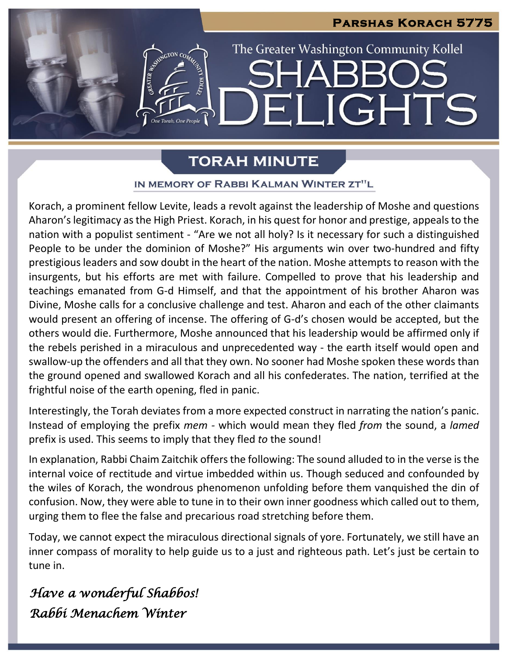

# **TORAH MINUTE**

## IN MEMORY OF RABBI KALMAN WINTER ZT"L

Korach, a prominent fellow Levite, leads a revolt against the leadership of Moshe and questions Aharon's legitimacy as the High Priest. Korach, in his quest for honor and prestige, appeals to the nation with a populist sentiment - "Are we not all holy? Is it necessary for such a distinguished People to be under the dominion of Moshe?" His arguments win over two-hundred and fifty prestigious leaders and sow doubt in the heart of the nation. Moshe attempts to reason with the insurgents, but his efforts are met with failure. Compelled to prove that his leadership and teachings emanated from G-d Himself, and that the appointment of his brother Aharon was Divine, Moshe calls for a conclusive challenge and test. Aharon and each of the other claimants would present an offering of incense. The offering of G-d's chosen would be accepted, but the others would die. Furthermore, Moshe announced that his leadership would be affirmed only if the rebels perished in a miraculous and unprecedented way - the earth itself would open and swallow-up the offenders and all that they own. No sooner had Moshe spoken these words than the ground opened and swallowed Korach and all his confederates. The nation, terrified at the frightful noise of the earth opening, fled in panic.

Interestingly, the Torah deviates from a more expected construct in narrating the nation's panic. Instead of employing the prefix *mem -* which would mean they fled *from* the sound, a *lamed* prefix is used. This seems to imply that they fled *to* the sound!

In explanation, Rabbi Chaim Zaitchik offers the following: The sound alluded to in the verse is the internal voice of rectitude and virtue imbedded within us. Though seduced and confounded by the wiles of Korach, the wondrous phenomenon unfolding before them vanquished the din of confusion. Now, they were able to tune in to their own inner goodness which called out to them, urging them to flee the false and precarious road stretching before them.

Today, we cannot expect the miraculous directional signals of yore. Fortunately, we still have an inner compass of morality to help guide us to a just and righteous path. Let's just be certain to tune in.

*Have a wonderful Shabbos! Rabbi Menachem Winter*